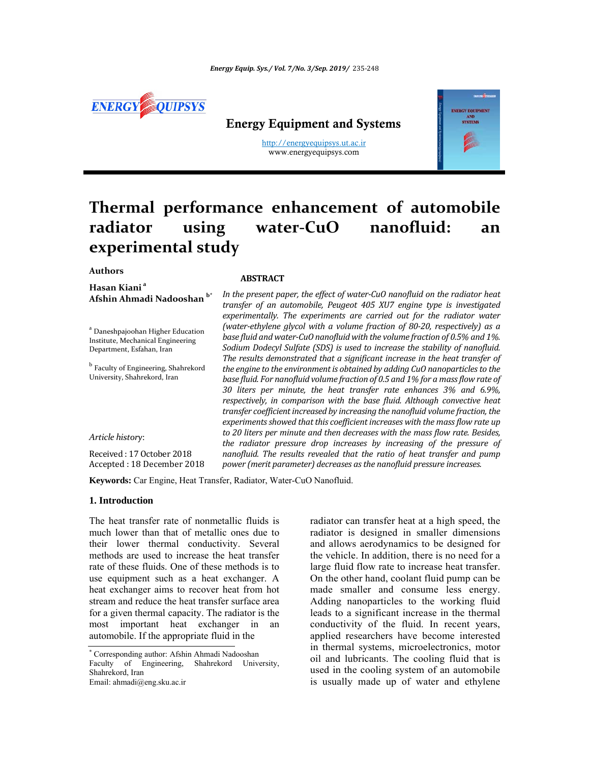

## Energy Equipment and Systems

http://energyequipsys.ut.ac.ir www.energyequipsys.com



# **Thermal performance enhancement of automobile radiator using water‐CuO nanofluid: an experimental study**

## **Authors**

**Hasan Kiani <sup>a</sup>**

#### **ABSTRACT**

<sup>a</sup> Daneshpajoohan Higher Education Institute, Mechanical Engineering Department, Esfahan, Iran

**Afshin Ahmadi Nadooshan b\***

 $^{\rm b}$  Faculty of Engineering, Shahrekord University, Shahrekord, Iran

*Article history*:

Received: 17 October 2018 Accepted : 18 December 2018 *In the present paper, the effect of water‐CuO nanofluid on the radiator heat transfer of an automobile, Peugeot 405 XU7 engine type is investigated experimentally. The experiments are carried out for the radiator water (water‐ethylene glycol with a volume fraction of 80‐20, respectively) as a base fluid and water‐CuO nanoϔluid with the volume fraction of 0.5% and 1%. Sodium Dodecyl Sulfate (SDS) is used to increase the stability of nanofluid. The results demonstrated that a significant increase in the heat transfer of the engine to the environmentis obtained by adding CuO nanoparticlesto the base ϔluid. For nanoϔluid volume fraction of 0.5 and 1% for a mass ϔlow rate of 30 liters per minute, the heat transfer rate enhances 3% and 6.9%, respectively, in comparison with the base fluid. Although convective heat transfer coefficientincreased by increasing the nanofluid volume fraction, the experimentsshowed that this coefficient increases with the massflow rate up to 20 liters per minute and then decreases with the mass ϔlow rate. Besides, the radiator pressure drop increases by increasing of the pressure of nanofluid. The results revealed that the ratio of heat transfer and pump power (merit parameter) decreases asthe nanofluid pressure increases.*

**Keywords:** Car Engine, Heat Transfer, Radiator, Water-CuO Nanofluid.

#### **1. Introduction**

The heat transfer rate of nonmetallic fluids is much lower than that of metallic ones due to their lower thermal conductivity. Several methods are used to increase the heat transfer rate of these fluids. One of these methods is to use equipment such as a heat exchanger. A heat exchanger aims to recover heat from hot stream and reduce the heat transfer surface area for a given thermal capacity. The radiator is the most important heat exchanger in an automobile. If the appropriate fluid in the

radiator can transfer heat at a high speed, the radiator is designed in smaller dimensions and allows aerodynamics to be designed for the vehicle. In addition, there is no need for a large fluid flow rate to increase heat transfer. On the other hand, coolant fluid pump can be made smaller and consume less energy. Adding nanoparticles to the working fluid leads to a significant increase in the thermal conductivity of the fluid. In recent years, applied researchers have become interested in thermal systems, microelectronics, motor oil and lubricants. The cooling fluid that is used in the cooling system of an automobile is usually made up of water and ethylene

 Corresponding author: Afshin Ahmadi Nadooshan Faculty of Engineering, Shahrekord University, Shahrekord, Iran Email: ahmadi@eng.sku.ac.ir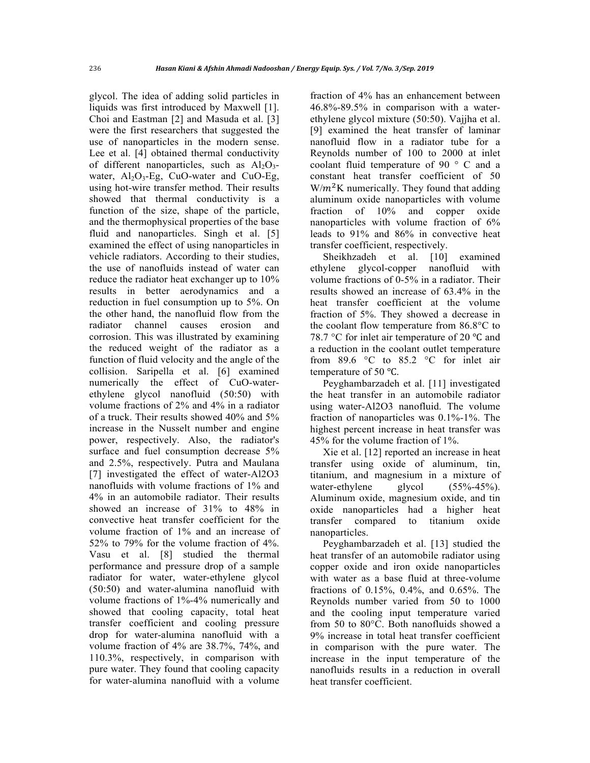glycol. The idea of adding solid particles in liquids was first introduced by Maxwell [1]. Choi and Eastman [2] and Masuda et al. [3] were the first researchers that suggested the use of nanoparticles in the modern sense. Lee et al. [4] obtained thermal conductivity of different nanoparticles, such as  $Al_2O_3$ water,  $Al_2O_3$ -Eg, CuO-water and CuO-Eg, using hot-wire transfer method. Their results showed that thermal conductivity is a function of the size, shape of the particle, and the thermophysical properties of the base fluid and nanoparticles. Singh et al. [5] examined the effect of using nanoparticles in vehicle radiators. According to their studies, the use of nanofluids instead of water can reduce the radiator heat exchanger up to 10% results in better aerodynamics and a reduction in fuel consumption up to 5%. On the other hand, the nanofluid flow from the radiator channel causes erosion and corrosion. This was illustrated by examining the reduced weight of the radiator as a function of fluid velocity and the angle of the collision. Saripella et al. [6] examined numerically the effect of CuO-waterethylene glycol nanofluid (50:50) with volume fractions of 2% and 4% in a radiator of a truck. Their results showed 40% and 5% increase in the Nusselt number and engine power, respectively. Also, the radiator's surface and fuel consumption decrease 5% and 2.5%, respectively. Putra and Maulana [7] investigated the effect of water-Al2O3 nanofluids with volume fractions of 1% and 4% in an automobile radiator. Their results showed an increase of 31% to 48% in convective heat transfer coefficient for the volume fraction of 1% and an increase of 52% to 79% for the volume fraction of 4%. Vasu et al. [8] studied the thermal performance and pressure drop of a sample radiator for water, water-ethylene glycol (50:50) and water-alumina nanofluid with volume fractions of 1%-4% numerically and showed that cooling capacity, total heat transfer coefficient and cooling pressure drop for water-alumina nanofluid with a volume fraction of 4% are 38.7%, 74%, and 110.3%, respectively, in comparison with pure water. They found that cooling capacity for water-alumina nanofluid with a volume

fraction of 4% has an enhancement between 46.8%-89.5% in comparison with a waterethylene glycol mixture (50:50). Vajjha et al. [9] examined the heat transfer of laminar nanofluid flow in a radiator tube for a Reynolds number of 100 to 2000 at inlet coolant fluid temperature of 90 ° C and a constant heat transfer coefficient of 50  $W/m<sup>2</sup>K$  numerically. They found that adding aluminum oxide nanoparticles with volume fraction of 10% and copper oxide nanoparticles with volume fraction of 6% leads to 91% and 86% in convective heat transfer coefficient, respectively.

Sheikhzadeh et al. [10] examined ethylene glycol-copper nanofluid with volume fractions of 0-5% in a radiator. Their results showed an increase of 63.4% in the heat transfer coefficient at the volume fraction of 5%. They showed a decrease in the coolant flow temperature from 86.8°C to 78.7  $\degree$ C for inlet air temperature of 20  $\degree$ C and a reduction in the coolant outlet temperature from 89.6 °C to 85.2 °C for inlet air temperature of 50 °C.

Peyghambarzadeh et al. [11] investigated the heat transfer in an automobile radiator using water-Al2O3 nanofluid. The volume fraction of nanoparticles was 0.1%-1%. The highest percent increase in heat transfer was 45% for the volume fraction of 1%.

Xie et al. [12] reported an increase in heat transfer using oxide of aluminum, tin, titanium, and magnesium in a mixture of water-ethylene glycol  $(55\% - 45\%)$ . Aluminum oxide, magnesium oxide, and tin oxide nanoparticles had a higher heat transfer compared to titanium oxide nanoparticles.

Peyghambarzadeh et al. [13] studied the heat transfer of an automobile radiator using copper oxide and iron oxide nanoparticles with water as a base fluid at three-volume fractions of 0.15%, 0.4%, and 0.65%. The Reynolds number varied from 50 to 1000 and the cooling input temperature varied from 50 to 80°C. Both nanofluids showed a 9% increase in total heat transfer coefficient in comparison with the pure water. The increase in the input temperature of the nanofluids results in a reduction in overall heat transfer coefficient.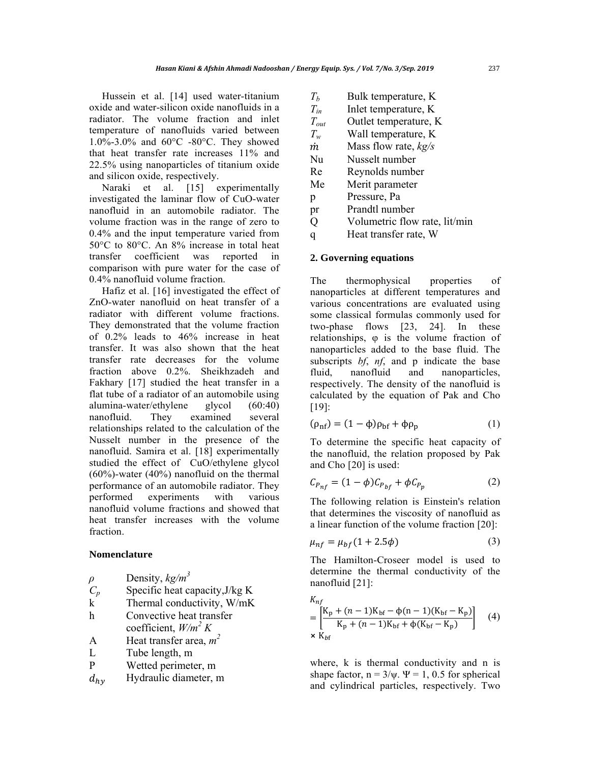Hussein et al. [14] used water-titanium oxide and water-silicon oxide nanofluids in a radiator. The volume fraction and inlet temperature of nanofluids varied between 1.0%-3.0% and 60°C -80°C. They showed that heat transfer rate increases 11% and 22.5% using nanoparticles of titanium oxide and silicon oxide, respectively.

Naraki et al. [15] experimentally investigated the laminar flow of CuO-water nanofluid in an automobile radiator. The volume fraction was in the range of zero to 0.4% and the input temperature varied from 50°C to 80°C. An 8% increase in total heat transfer coefficient was reported in comparison with pure water for the case of 0.4% nanofluid volume fraction.

Hafiz et al. [16] investigated the effect of ZnO-water nanofluid on heat transfer of a radiator with different volume fractions. They demonstrated that the volume fraction of 0.2% leads to 46% increase in heat transfer. It was also shown that the heat transfer rate decreases for the volume fraction above 0.2%. Sheikhzadeh and Fakhary [17] studied the heat transfer in a flat tube of a radiator of an automobile using alumina-water/ethylene glycol (60:40) nanofluid. They examined several relationships related to the calculation of the Nusselt number in the presence of the nanofluid. Samira et al. [18] experimentally studied the effect of CuO/ethylene glycol (60%)-water (40%) nanofluid on the thermal performance of an automobile radiator. They performed experiments with various nanofluid volume fractions and showed that heat transfer increases with the volume fraction.

#### **Nomenclature**

| $\rho$ | Density, $kg/m^3$ |
|--------|-------------------|
|        |                   |

- $C_p$  Specific heat capacity, J/kg K
- k Thermal conductivity, W/mK
- h Convective heat transfer
- coefficient, *W/m<sup>2</sup> K* A Heat transfer area,  $m^2$
- L Tube length, m
- P Wetted perimeter, m
- $d_{hv}$  Hydraulic diameter, m
- $T_b$  Bulk temperature, K
- *Tin* Inlet temperature, K
- *Tout* Outlet temperature, K
- *Tw* Wall temperature, K
- *m* Mass flow rate, *kg/s*
- Nu Nusselt number
- Re Reynolds number
- Me Merit parameter
- p Pressure, Pa
- pr Prandtl number
- Q Volumetric flow rate, lit/min
- q Heat transfer rate, W

## **2. Governing equations**

The thermophysical properties of nanoparticles at different temperatures and various concentrations are evaluated using some classical formulas commonly used for two-phase flows [23, 24]. In these relationships, φ is the volume fraction of nanoparticles added to the base fluid. The subscripts *bf*, *nf*, and p indicate the base fluid, nanofluid and nanoparticles, respectively. The density of the nanofluid is calculated by the equation of Pak and Cho [19]:

$$
(\rho_{\rm nf}) = (1 - \phi)\rho_{\rm bf} + \phi\rho_{\rm p} \tag{1}
$$

To determine the specific heat capacity of the nanofluid, the relation proposed by Pak and Cho [20] is used:

$$
C_{P_{nf}} = (1 - \phi)C_{P_{bf}} + \phi C_{P_p} \tag{2}
$$

The following relation is Einstein's relation that determines the viscosity of nanofluid as a linear function of the volume fraction [20]:

$$
\mu_{nf} = \mu_{bf}(1 + 2.5\phi) \tag{3}
$$

The Hamilton-Croseer model is used to determine the thermal conductivity of the nanofluid [21]:

$$
K_{nf}
$$
  
=  $\left[\frac{K_p + (n-1)K_{bf} - \phi(n-1)(K_{bf} - K_p)}{K_p + (n-1)K_{bf} + \phi(K_{bf} - K_p)}\right]$  (4)  
×  $K_{bf}$ 

where, k is thermal conductivity and n is shape factor,  $n = 3/\psi$ .  $\Psi = 1$ , 0.5 for spherical and cylindrical particles, respectively. Two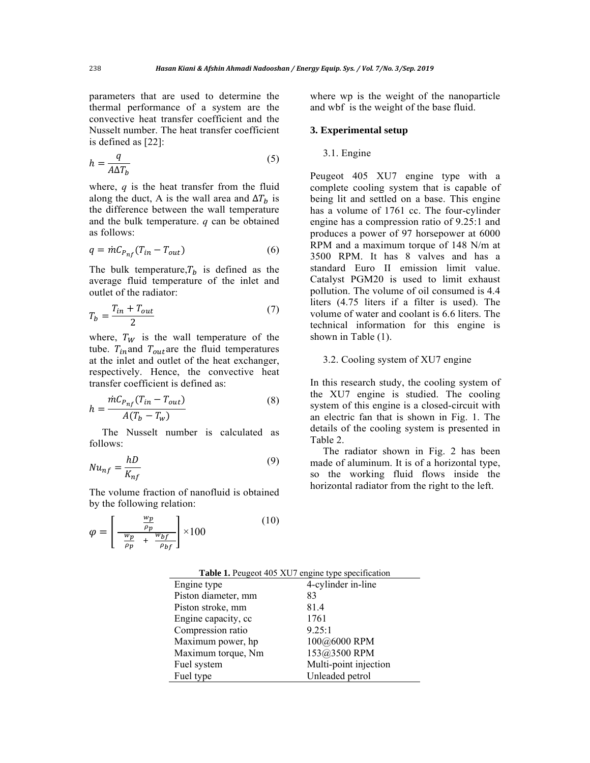parameters that are used to determine the thermal performance of a system are the convective heat transfer coefficient and the Nusselt number. The heat transfer coefficient is defined as [22]:

$$
h = \frac{q}{A\Delta T_b} \tag{5}
$$

where, *q* is the heat transfer from the fluid along the duct, A is the wall area and  $\Delta T_h$  is the difference between the wall temperature and the bulk temperature. *q* can be obtained as follows:

$$
q = \dot{m} C_{P_{nf}} (T_{in} - T_{out})
$$
\n<sup>(6)</sup>

The bulk temperature, $T_b$  is defined as the average fluid temperature of the inlet and outlet of the radiator:

$$
T_b = \frac{T_{in} + T_{out}}{2} \tag{7}
$$

where,  $T_W$  is the wall temperature of the tube.  $T_{in}$  and  $T_{out}$  are the fluid temperatures at the inlet and outlet of the heat exchanger, respectively. Hence, the convective heat transfer coefficient is defined as:

$$
h = \frac{\dot{m}C_{P_{nf}}(T_{in} - T_{out})}{A(T_b - T_w)}
$$
(8)

The Nusselt number is calculated as follows:

$$
Nu_{nf} = \frac{hD}{K_{nf}}\tag{9}
$$

The volume fraction of nanofluid is obtained by the following relation:

$$
\varphi = \left[ \frac{\frac{wp}{\rho p}}{\frac{wp}{\rho p} + \frac{wp_f}{\rho_{bf}}}\right] \times 100
$$
\n(10)

where wp is the weight of the nanoparticle and wbf is the weight of the base fluid.

#### **3. Experimental setup**

## 3.1. Engine

Peugeot 405 XU7 engine type with a complete cooling system that is capable of being lit and settled on a base. This engine has a volume of 1761 cc. The four-cylinder engine has a compression ratio of 9.25:1 and produces a power of 97 horsepower at 6000 RPM and a maximum torque of 148 N/m at 3500 RPM. It has 8 valves and has a standard Euro II emission limit value. Catalyst PGM20 is used to limit exhaust pollution. The volume of oil consumed is 4.4 liters (4.75 liters if a filter is used). The volume of water and coolant is 6.6 liters. The technical information for this engine is shown in Table (1).

## 3.2. Cooling system of XU7 engine

In this research study, the cooling system of the XU7 engine is studied. The cooling system of this engine is a closed-circuit with an electric fan that is shown in Fig. 1. The details of the cooling system is presented in Table 2.

The radiator shown in Fig. 2 has been made of aluminum. It is of a horizontal type, so the working fluid flows inside the horizontal radiator from the right to the left.

| Engine type         | 4-cylinder in-line    |
|---------------------|-----------------------|
| Piston diameter, mm | 83                    |
| Piston stroke, mm   | 81.4                  |
| Engine capacity, cc | 1761                  |
| Compression ratio   | 9.25:1                |
| Maximum power, hp   | 100@6000 RPM          |
| Maximum torque, Nm  | 153@3500 RPM          |
| Fuel system         | Multi-point injection |
| Fuel type           | Unleaded petrol       |

**Table 1.** Peugeot 405 XU7 engine type specification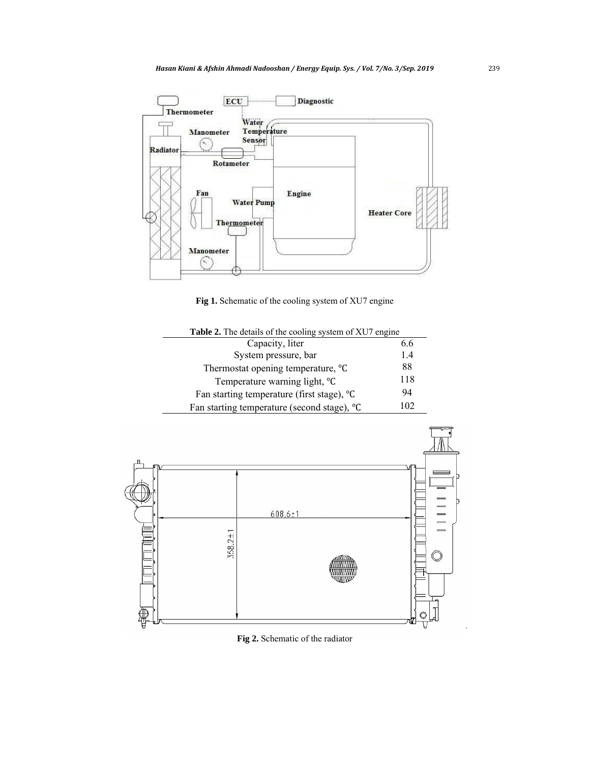

Fig 1. Schematic of the cooling system of XU7 engine

| Table 2. The details of the cooling system of XU7 engine |     |  |  |  |
|----------------------------------------------------------|-----|--|--|--|
| Capacity, liter                                          | 6.6 |  |  |  |
| System pressure, bar                                     | 1.4 |  |  |  |
| Thermostat opening temperature, °C                       | 88  |  |  |  |
| Temperature warning light, °C                            | 118 |  |  |  |
| Fan starting temperature (first stage), <sup>o</sup> C   | 94  |  |  |  |
| 102<br>Fan starting temperature (second stage), °C       |     |  |  |  |
|                                                          |     |  |  |  |



**Fig 2.** Schematic of the radiator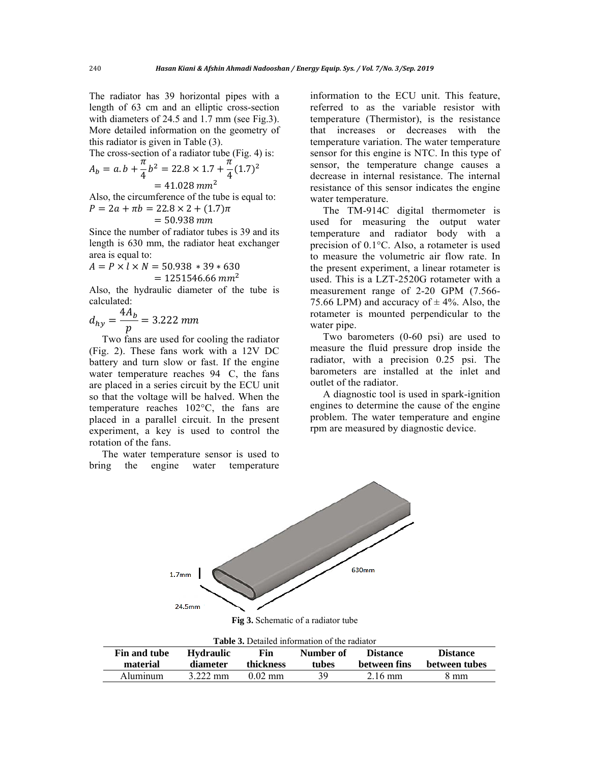The radiator has 39 horizontal pipes with a length of 63 cm and an elliptic cross-section with diameters of 24.5 and 1.7 mm (see Fig.3). More detailed information on the geometry of this radiator is given in Table (3).

The cross-section of a radiator tube (Fig. 4) is:

$$
A_b = a \cdot b + \frac{\pi}{4} b^2 = 22.8 \times 1.7 + \frac{\pi}{4} (1.7)^2
$$
  
= 41.028 mm<sup>2</sup>

Also, the circumference of the tube is equal to:  $P = 2a + \pi b = 22.8 \times 2 + (1.7)\pi$ 

$$
= 50.938 \, \text{mm}
$$

Since the number of radiator tubes is 39 and its length is 630 mm, the radiator heat exchanger area is equal to:

$$
A = P \times l \times N = 50.938 * 39 * 630
$$
  
= 1251546.66 mm<sup>2</sup>

Also, the hydraulic diameter of the tube is calculated:

$$
d_{hy} = \frac{4A_b}{p} = 3.222 \text{ mm}
$$

Two fans are used for cooling the radiator (Fig. 2). These fans work with a 12V DC battery and turn slow or fast. If the engine water temperature reaches 94 C, the fans are placed in a series circuit by the ECU unit so that the voltage will be halved. When the temperature reaches 102°C, the fans are placed in a parallel circuit. In the present experiment, a key is used to control the rotation of the fans.

The water temperature sensor is used to bring the engine water temperature

information to the ECU unit. This feature, referred to as the variable resistor with temperature (Thermistor), is the resistance that increases or decreases with the temperature variation. The water temperature sensor for this engine is NTC. In this type of sensor, the temperature change causes a decrease in internal resistance. The internal resistance of this sensor indicates the engine water temperature.

The TM-914C digital thermometer is used for measuring the output water temperature and radiator body with a precision of 0.1°C. Also, a rotameter is used to measure the volumetric air flow rate. In the present experiment, a linear rotameter is used. This is a LZT-2520G rotameter with a measurement range of 2-20 GPM (7.566- 75.66 LPM) and accuracy of  $\pm$  4%. Also, the rotameter is mounted perpendicular to the water pipe.

Two barometers (0-60 psi) are used to measure the fluid pressure drop inside the radiator, with a precision 0.25 psi. The barometers are installed at the inlet and outlet of the radiator.

A diagnostic tool is used in spark-ignition engines to determine the cause of the engine problem. The water temperature and engine rpm are measured by diagnostic device.



**Fig 3.** Schematic of a radiator tube

| <b>Table 3.</b> Detailed information of the radiator |                  |                   |           |                   |                 |  |
|------------------------------------------------------|------------------|-------------------|-----------|-------------------|-----------------|--|
| Fin and tube                                         | <b>Hydraulic</b> | Fin               | Number of | <b>Distance</b>   | <b>Distance</b> |  |
| material                                             | diameter         | <b>thickness</b>  | tubes     | between fins      | between tubes   |  |
| Aluminum                                             | 3.222 mm         | $0.02 \text{ mm}$ | 39        | $2.16 \text{ mm}$ | 8 mm            |  |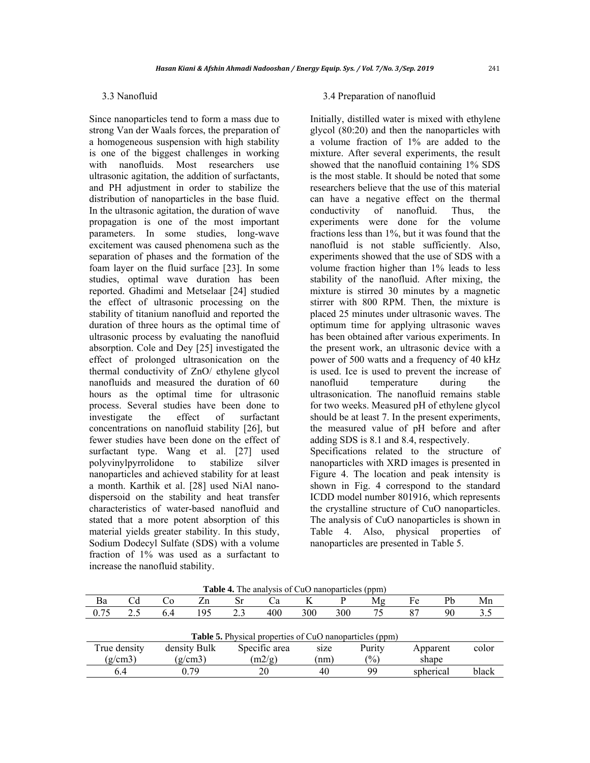## 3.3 Nanofluid

Since nanoparticles tend to form a mass due to strong Van der Waals forces, the preparation of a homogeneous suspension with high stability is one of the biggest challenges in working<br>with nanofluids. Most researchers use with nanofluids. Most researchers use ultrasonic agitation, the addition of surfactants, and PH adjustment in order to stabilize the distribution of nanoparticles in the base fluid. In the ultrasonic agitation, the duration of wave propagation is one of the most important parameters. In some studies, long-wave excitement was caused phenomena such as the separation of phases and the formation of the foam layer on the fluid surface [23]. In some studies, optimal wave duration has been reported. Ghadimi and Metselaar [24] studied the effect of ultrasonic processing on the stability of titanium nanofluid and reported the duration of three hours as the optimal time of ultrasonic process by evaluating the nanofluid absorption. Cole and Dey [25] investigated the effect of prolonged ultrasonication on the thermal conductivity of ZnO/ ethylene glycol nanofluids and measured the duration of 60 hours as the optimal time for ultrasonic process. Several studies have been done to investigate the effect of surfactant concentrations on nanofluid stability [26], but fewer studies have been done on the effect of surfactant type. Wang et al. [27] used polyvinylpyrrolidone to stabilize silver nanoparticles and achieved stability for at least a month. Karthik et al. [28] used NiAl nanodispersoid on the stability and heat transfer characteristics of water-based nanofluid and stated that a more potent absorption of this material yields greater stability. In this study, Sodium Dodecyl Sulfate (SDS) with a volume fraction of 1% was used as a surfactant to increase the nanofluid stability.

#### 3.4 Preparation of nanofluid

Initially, distilled water is mixed with ethylene glycol (80:20) and then the nanoparticles with a volume fraction of 1% are added to the mixture. After several experiments, the result showed that the nanofluid containing 1% SDS is the most stable. It should be noted that some researchers believe that the use of this material can have a negative effect on the thermal conductivity of nanofluid. Thus, the experiments were done for the volume fractions less than 1%, but it was found that the nanofluid is not stable sufficiently. Also, experiments showed that the use of SDS with a volume fraction higher than 1% leads to less stability of the nanofluid. After mixing, the mixture is stirred 30 minutes by a magnetic stirrer with 800 RPM. Then, the mixture is placed 25 minutes under ultrasonic waves. The optimum time for applying ultrasonic waves has been obtained after various experiments. In the present work, an ultrasonic device with a power of 500 watts and a frequency of 40 kHz is used. Ice is used to prevent the increase of nanofluid temperature during the ultrasonication. The nanofluid remains stable for two weeks. Measured pH of ethylene glycol should be at least 7. In the present experiments, the measured value of pH before and after adding SDS is 8.1 and 8.4, respectively.

Specifications related to the structure of nanoparticles with XRD images is presented in Figure 4. The location and peak intensity is shown in Fig. 4 correspond to the standard ICDD model number 801916, which represents the crystalline structure of CuO nanoparticles. The analysis of CuO nanoparticles is shown in Table 4. Also, physical properties of nanoparticles are presented in Table 5.

| Ba   | Cd           | Ű0      | Zn           | Sr     | Ċа            |      |                       | Mg                                                             | Fe        | Pb | Mn    |
|------|--------------|---------|--------------|--------|---------------|------|-----------------------|----------------------------------------------------------------|-----------|----|-------|
| 0.75 | 2.5          | 6.4     | 195          | 2.3    | 400           | 300  | 300                   | 75                                                             | 87        | 90 |       |
|      |              |         |              |        |               |      |                       |                                                                |           |    |       |
|      |              |         |              |        |               |      |                       | <b>Table 5.</b> Physical properties of CuO nanoparticles (ppm) |           |    |       |
|      | True density |         | density Bulk |        | Specific area | size |                       | Purity                                                         | Apparent  |    | color |
|      | (g/cm3)      | (g/cm3) |              | (m2/g) |               |      | $\frac{9}{6}$<br>(nm) |                                                                | shape     |    |       |
|      | 6.4          |         | 0 79         |        | 20            | 40   |                       | 99                                                             | spherical |    | black |

**Table 4.** The analysis of CuO nanoparticles (ppm)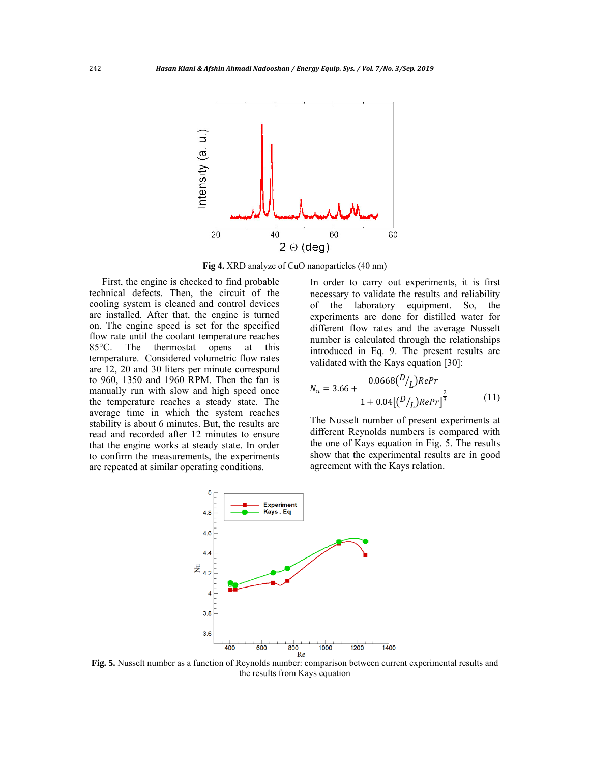

**Fig 4.** XRD analyze of CuO nanoparticles (40 nm)

First, the engine is checked to find probable technical defects. Then, the circuit of the cooling system is cleaned and control devices are installed. After that, the engine is turned on. The engine speed is set for the specified flow rate until the coolant temperature reaches 85°C. The thermostat opens at this temperature. Considered volumetric flow rates are 12, 20 and 30 liters per minute correspond to 960, 1350 and 1960 RPM. Then the fan is manually run with slow and high speed once the temperature reaches a steady state. The average time in which the system reaches stability is about 6 minutes. But, the results are read and recorded after 12 minutes to ensure that the engine works at steady state. In order to confirm the measurements, the experiments are repeated at similar operating conditions.

In order to carry out experiments, it is first necessary to validate the results and reliability of the laboratory equipment. So, the experiments are done for distilled water for different flow rates and the average Nusselt number is calculated through the relationships introduced in Eq. 9. The present results are validated with the Kays equation [30]:

$$
N_u = 3.66 + \frac{0.0668 \left(\frac{D}{L}\right) RePr}{1 + 0.04 \left[\left(\frac{D}{L}\right) RePr\right]^{\frac{2}{3}}} \tag{11}
$$

The Nusselt number of present experiments at different Reynolds numbers is compared with the one of Kays equation in Fig. 5. The results show that the experimental results are in good agreement with the Kays relation.



**Fig. 5.** Nusselt number as a function of Reynolds number: comparison between current experimental results and the results from Kays equation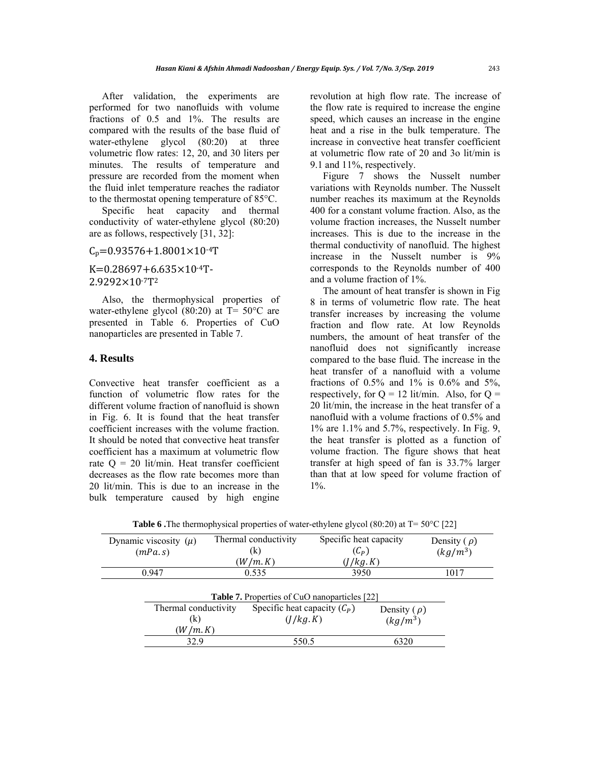After validation, the experiments are performed for two nanofluids with volume fractions of 0.5 and 1%. The results are compared with the results of the base fluid of water-ethylene glycol (80:20) at three volumetric flow rates: 12, 20, and 30 liters per minutes. The results of temperature and pressure are recorded from the moment when the fluid inlet temperature reaches the radiator to the thermostat opening temperature of 85°C.

Specific heat capacity and thermal conductivity of water-ethylene glycol (80:20) are as follows, respectively [31, 32]:

 $C_p = 0.93576 + 1.8001 \times 10^{-4}$ T

 $K=0.28697+6.635\times10^{-4}T$ -2.9292×10-7T2

Also, the thermophysical properties of water-ethylene glycol (80:20) at T= 50°C are presented in Table 6. Properties of CuO nanoparticles are presented in Table 7.

## **4. Results**

Convective heat transfer coefficient as a function of volumetric flow rates for the different volume fraction of nanofluid is shown in Fig. 6. It is found that the heat transfer coefficient increases with the volume fraction. It should be noted that convective heat transfer coefficient has a maximum at volumetric flow rate  $Q = 20$  lit/min. Heat transfer coefficient decreases as the flow rate becomes more than 20 lit/min. This is due to an increase in the bulk temperature caused by high engine revolution at high flow rate. The increase of the flow rate is required to increase the engine speed, which causes an increase in the engine heat and a rise in the bulk temperature. The increase in convective heat transfer coefficient at volumetric flow rate of 20 and 3o lit/min is 9.1 and 11%, respectively.

Figure 7 shows the Nusselt number variations with Reynolds number. The Nusselt number reaches its maximum at the Reynolds 400 for a constant volume fraction. Also, as the volume fraction increases, the Nusselt number increases. This is due to the increase in the thermal conductivity of nanofluid. The highest increase in the Nusselt number is 9% corresponds to the Reynolds number of 400 and a volume fraction of 1%.

The amount of heat transfer is shown in Fig 8 in terms of volumetric flow rate. The heat transfer increases by increasing the volume fraction and flow rate. At low Reynolds numbers, the amount of heat transfer of the nanofluid does not significantly increase compared to the base fluid. The increase in the heat transfer of a nanofluid with a volume fractions of  $0.5\%$  and  $1\%$  is  $0.6\%$  and  $5\%$ , respectively, for  $Q = 12$  lit/min. Also, for  $Q =$ 20 lit/min, the increase in the heat transfer of a nanofluid with a volume fractions of 0.5% and 1% are 1.1% and 5.7%, respectively. In Fig. 9, the heat transfer is plotted as a function of volume fraction. The figure shows that heat transfer at high speed of fan is 33.7% larger than that at low speed for volume fraction of 1%.

| Dynamic viscosity $(\mu)$<br>(mPa.s) | Thermal conductivity<br>(k)<br>(W/m.K)               | Specific heat capacity<br>$(C_P)$<br>(J/kg.K) | Density $(\rho)$<br>$(kg/m^3)$ |
|--------------------------------------|------------------------------------------------------|-----------------------------------------------|--------------------------------|
| 0.947                                | 0.535                                                | 3950                                          | 1017                           |
|                                      | <b>Table 7.</b> Properties of CuO nanoparticles [22] |                                               |                                |
| Thermal conductivity                 | Specific heat capacity $(C_P)$                       | Density $(\rho)$                              |                                |
| (k)                                  | (J/kg, K)                                            | $(kg/m^3)$                                    |                                |
| W/m.K                                |                                                      |                                               |                                |
| 32.9                                 | 550.5                                                | 6320                                          |                                |

**Table 6 .**The thermophysical properties of water-ethylene glycol (80:20) at T= 50°C [22]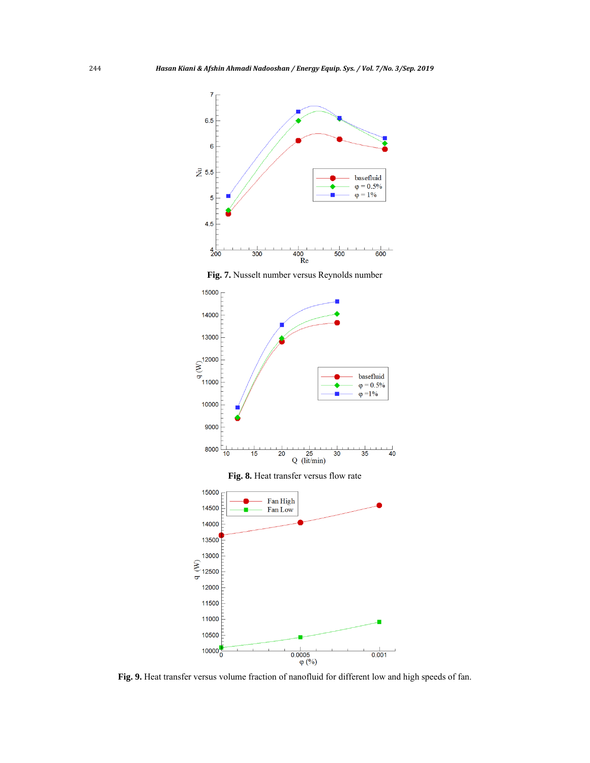

**Fig. 7.** Nusselt number versus Reynolds number



**Fig. 9.** Heat transfer versus volume fraction of nanofluid for different low and high speeds of fan.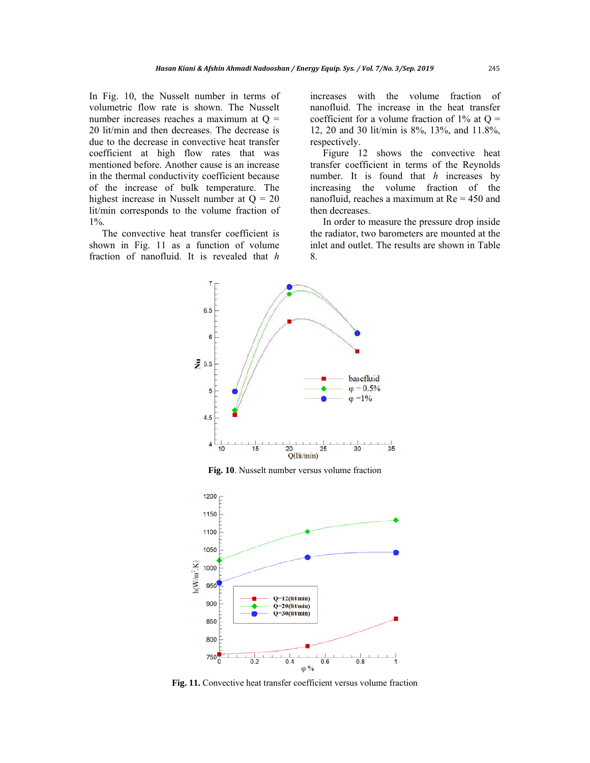In Fig. 10, the Nusselt number in terms of volumetric flow rate is shown. The Nusselt number increases reaches a maximum at  $Q =$ 20 lit/min and then decreases. The decrease is due to the decrease in convective heat transfer coefficient at high flow rates that was mentioned before. Another cause is an increase in the thermal conductivity coefficient because of the increase of bulk temperature. The highest increase in Nusselt number at  $Q = 20$ lit/min corresponds to the volume fraction of 1%.

The convective heat transfer coefficient is shown in Fig. 11 as a function of volume fraction of nanofluid. It is revealed that *h* increases with the volume fraction of nanofluid. The increase in the heat transfer coefficient for a volume fraction of  $1\%$  at Q = 12, 20 and 30 lit/min is 8%, 13%, and 11.8%, respectively.

Figure 12 shows the convective heat transfer coefficient in terms of the Reynolds number. It is found that *h* increases by increasing the volume fraction of the nanofluid, reaches a maximum at Re = 450 and then decreases.

In order to measure the pressure drop inside the radiator, two barometers are mounted at the inlet and outlet. The results are shown in Table 8.



**Fig. 10**. Nusselt number versus volume fraction



**Fig. 11.** Convective heat transfer coefficient versus volume fraction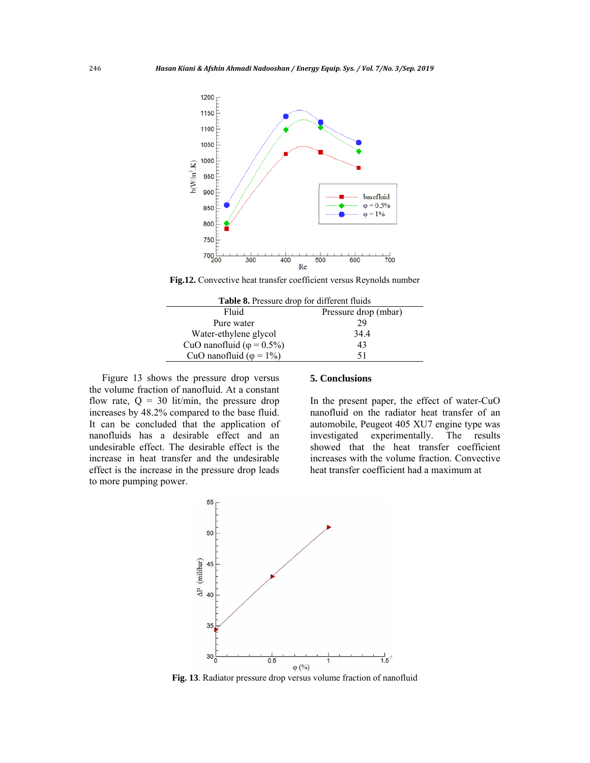

**Fig.12.** Convective heat transfer coefficient versus Reynolds number

| <b>Table 8.</b> Pressure drop for different fluids |                      |  |  |  |
|----------------------------------------------------|----------------------|--|--|--|
| Fluid                                              | Pressure drop (mbar) |  |  |  |
| Pure water                                         | 29                   |  |  |  |
| Water-ethylene glycol                              | 34.4                 |  |  |  |
| CuO nanofluid ( $\varphi$ = 0.5%)                  | 43                   |  |  |  |
| CuO nanofluid ( $\varphi = 1\%$ )                  | 51                   |  |  |  |

Figure 13 shows the pressure drop versus the volume fraction of nanofluid. At a constant flow rate,  $Q = 30$  lit/min, the pressure drop increases by 48.2% compared to the base fluid. It can be concluded that the application of nanofluids has a desirable effect and an undesirable effect. The desirable effect is the increase in heat transfer and the undesirable effect is the increase in the pressure drop leads to more pumping power.

#### **5. Conclusions**

In the present paper, the effect of water-CuO nanofluid on the radiator heat transfer of an automobile, Peugeot 405 XU7 engine type was investigated experimentally. The results showed that the heat transfer coefficient increases with the volume fraction. Convective heat transfer coefficient had a maximum at



**Fig. 13**. Radiator pressure drop versus volume fraction of nanofluid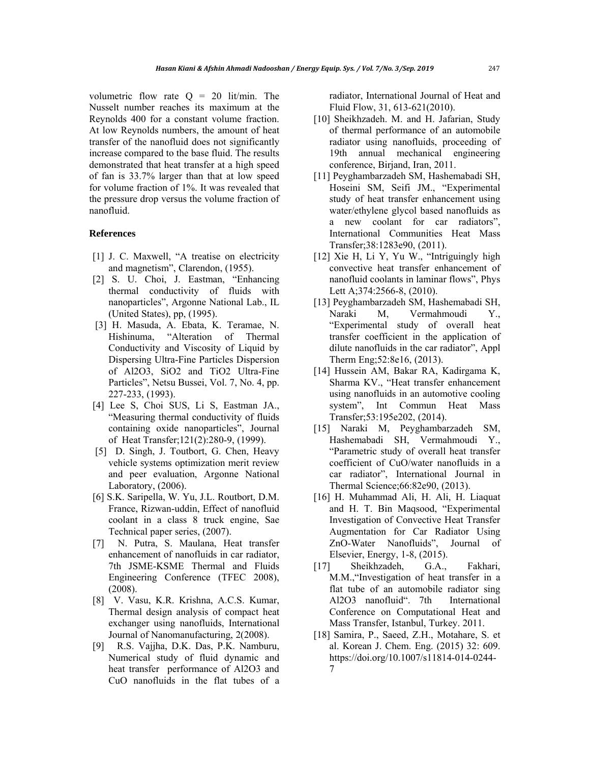volumetric flow rate  $Q = 20$  lit/min. The Nusselt number reaches its maximum at the Reynolds 400 for a constant volume fraction. At low Reynolds numbers, the amount of heat transfer of the nanofluid does not significantly increase compared to the base fluid. The results demonstrated that heat transfer at a high speed of fan is 33.7% larger than that at low speed for volume fraction of 1%. It was revealed that the pressure drop versus the volume fraction of nanofluid.

#### **References**

- [1] J. C. Maxwell, "A treatise on electricity and magnetism", Clarendon, (1955).
- [2] S. U. Choi, J. Eastman, "Enhancing thermal conductivity of fluids with nanoparticles", Argonne National Lab., IL (United States), pp, (1995).
- [3] H. Masuda, A. Ebata, K. Teramae, N. Hishinuma, "Alteration of Thermal Conductivity and Viscosity of Liquid by Dispersing Ultra-Fine Particles Dispersion of Al2O3, SiO2 and TiO2 Ultra-Fine Particles", Netsu Bussei, Vol. 7, No. 4, pp. 227-233, (1993).
- [4] Lee S, Choi SUS, Li S, Eastman JA., "Measuring thermal conductivity of fluids containing oxide nanoparticles", Journal of Heat Transfer;121(2):280-9, (1999).
- [5] D. Singh, J. Toutbort, G. Chen, Heavy vehicle systems optimization merit review and peer evaluation, Argonne National Laboratory, (2006).
- [6] S.K. Saripella, W. Yu, J.L. Routbort, D.M. France, Rizwan-uddin, Effect of nanofluid coolant in a class 8 truck engine, Sae Technical paper series, (2007).
- [7] N. Putra, S. Maulana, Heat transfer enhancement of nanofluids in car radiator, 7th JSME-KSME Thermal and Fluids Engineering Conference (TFEC 2008), (2008).
- [8] V. Vasu, K.R. Krishna, A.C.S. Kumar, Thermal design analysis of compact heat exchanger using nanofluids, International Journal of Nanomanufacturing, 2(2008).
- [9] R.S. Vajjha, D.K. Das, P.K. Namburu, Numerical study of fluid dynamic and heat transfer performance of Al2O3 and CuO nanofluids in the flat tubes of a

radiator, International Journal of Heat and Fluid Flow, 31, 613-621(2010).

- [10] Sheikhzadeh. M. and H. Jafarian, Study of thermal performance of an automobile radiator using nanofluids, proceeding of 19th annual mechanical engineering conference, Birjand, Iran, 2011.
- [11] Peyghambarzadeh SM, Hashemabadi SH, Hoseini SM, Seifi JM., "Experimental study of heat transfer enhancement using water/ethylene glycol based nanofluids as a new coolant for car radiators", International Communities Heat Mass Transfer;38:1283e90, (2011).
- [12] Xie H, Li Y, Yu W., "Intriguingly high convective heat transfer enhancement of nanofluid coolants in laminar flows", Phys Lett A;374:2566-8, (2010).
- [13] Peyghambarzadeh SM, Hashemabadi SH, Naraki M, Vermahmoudi Y., "Experimental study of overall heat transfer coefficient in the application of dilute nanofluids in the car radiator", Appl Therm Eng;52:8e16, (2013).
- [14] Hussein AM, Bakar RA, Kadirgama K, Sharma KV., "Heat transfer enhancement using nanofluids in an automotive cooling system", Int Commun Heat Mass Transfer;53:195e202, (2014).
- [15] Naraki M, Peyghambarzadeh SM, Hashemabadi SH, Vermahmoudi Y., "Parametric study of overall heat transfer coefficient of CuO/water nanofluids in a car radiator", International Journal in Thermal Science;66:82e90, (2013).
- [16] H. Muhammad Ali, H. Ali, H. Liaquat and H. T. Bin Maqsood, "Experimental Investigation of Convective Heat Transfer Augmentation for Car Radiator Using ZnO-Water Nanofluids", Journal of Elsevier, Energy, 1-8, (2015).
- [17] Sheikhzadeh, G.A., Fakhari, M.M.,"Investigation of heat transfer in a flat tube of an automobile radiator sing Al2O3 nanofluid". 7th International Conference on Computational Heat and Mass Transfer, Istanbul, Turkey. 2011.
- [18] Samira, P., Saeed, Z.H., Motahare, S. et al. Korean J. Chem. Eng. (2015) 32: 609. https://doi.org/10.1007/s11814-014-0244- 7